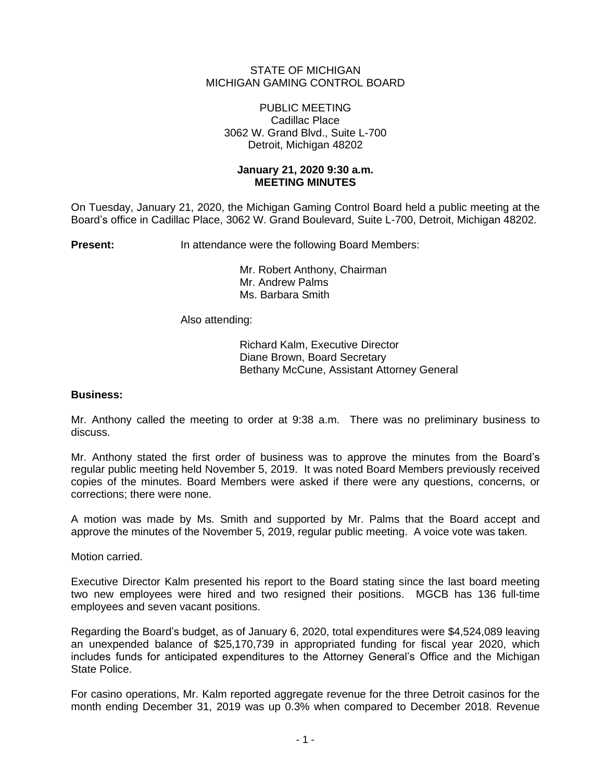## STATE OF MICHIGAN MICHIGAN GAMING CONTROL BOARD

#### PUBLIC MEETING Cadillac Place 3062 W. Grand Blvd., Suite L-700 Detroit, Michigan 48202

## **January 21, 2020 9:30 a.m. MEETING MINUTES**

On Tuesday, January 21, 2020, the Michigan Gaming Control Board held a public meeting at the Board's office in Cadillac Place, 3062 W. Grand Boulevard, Suite L-700, Detroit, Michigan 48202.

**Present:** In attendance were the following Board Members:

Mr. Robert Anthony, Chairman Mr. Andrew Palms Ms. Barbara Smith

Also attending:

Richard Kalm, Executive Director Diane Brown, Board Secretary Bethany McCune, Assistant Attorney General

## **Business:**

Mr. Anthony called the meeting to order at 9:38 a.m. There was no preliminary business to discuss.

Mr. Anthony stated the first order of business was to approve the minutes from the Board's regular public meeting held November 5, 2019. It was noted Board Members previously received copies of the minutes. Board Members were asked if there were any questions, concerns, or corrections; there were none.

A motion was made by Ms. Smith and supported by Mr. Palms that the Board accept and approve the minutes of the November 5, 2019, regular public meeting. A voice vote was taken.

Motion carried.

Executive Director Kalm presented his report to the Board stating since the last board meeting two new employees were hired and two resigned their positions. MGCB has 136 full-time employees and seven vacant positions.

Regarding the Board's budget, as of January 6, 2020, total expenditures were \$4,524,089 leaving an unexpended balance of \$25,170,739 in appropriated funding for fiscal year 2020, which includes funds for anticipated expenditures to the Attorney General's Office and the Michigan State Police.

For casino operations, Mr. Kalm reported aggregate revenue for the three Detroit casinos for the month ending December 31, 2019 was up 0.3% when compared to December 2018. Revenue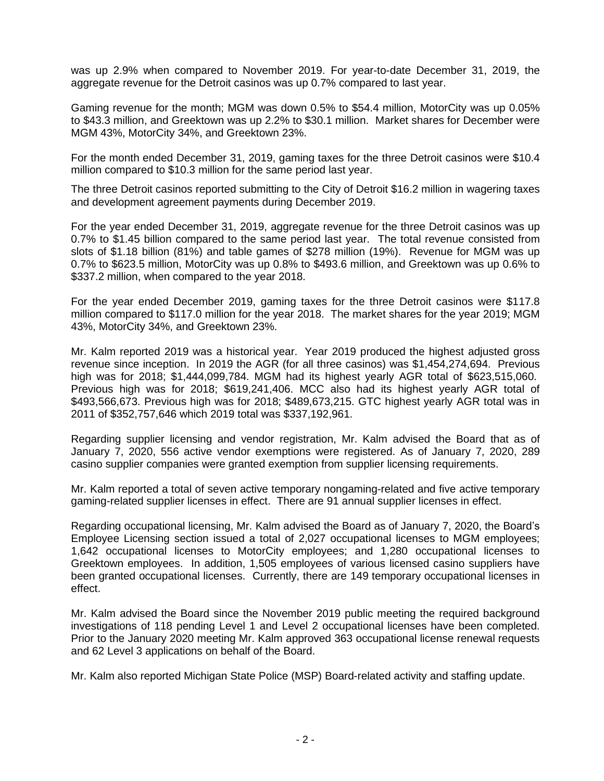was up 2.9% when compared to November 2019. For year-to-date December 31, 2019, the aggregate revenue for the Detroit casinos was up 0.7% compared to last year.

Gaming revenue for the month; MGM was down 0.5% to \$54.4 million, MotorCity was up 0.05% to \$43.3 million, and Greektown was up 2.2% to \$30.1 million. Market shares for December were MGM 43%, MotorCity 34%, and Greektown 23%.

For the month ended December 31, 2019, gaming taxes for the three Detroit casinos were \$10.4 million compared to \$10.3 million for the same period last year.

The three Detroit casinos reported submitting to the City of Detroit \$16.2 million in wagering taxes and development agreement payments during December 2019.

For the year ended December 31, 2019, aggregate revenue for the three Detroit casinos was up 0.7% to \$1.45 billion compared to the same period last year. The total revenue consisted from slots of \$1.18 billion (81%) and table games of \$278 million (19%). Revenue for MGM was up 0.7% to \$623.5 million, MotorCity was up 0.8% to \$493.6 million, and Greektown was up 0.6% to \$337.2 million, when compared to the year 2018.

For the year ended December 2019, gaming taxes for the three Detroit casinos were \$117.8 million compared to \$117.0 million for the year 2018. The market shares for the year 2019; MGM 43%, MotorCity 34%, and Greektown 23%.

Mr. Kalm reported 2019 was a historical year. Year 2019 produced the highest adjusted gross revenue since inception. In 2019 the AGR (for all three casinos) was \$1,454,274,694. Previous high was for 2018; \$1,444,099,784. MGM had its highest yearly AGR total of \$623,515,060. Previous high was for 2018; \$619,241,406. MCC also had its highest yearly AGR total of \$493,566,673. Previous high was for 2018; \$489,673,215. GTC highest yearly AGR total was in 2011 of \$352,757,646 which 2019 total was \$337,192,961.

Regarding supplier licensing and vendor registration, Mr. Kalm advised the Board that as of January 7, 2020, 556 active vendor exemptions were registered. As of January 7, 2020, 289 casino supplier companies were granted exemption from supplier licensing requirements.

Mr. Kalm reported a total of seven active temporary nongaming-related and five active temporary gaming-related supplier licenses in effect. There are 91 annual supplier licenses in effect.

Regarding occupational licensing, Mr. Kalm advised the Board as of January 7, 2020, the Board's Employee Licensing section issued a total of 2,027 occupational licenses to MGM employees; 1,642 occupational licenses to MotorCity employees; and 1,280 occupational licenses to Greektown employees. In addition, 1,505 employees of various licensed casino suppliers have been granted occupational licenses. Currently, there are 149 temporary occupational licenses in effect.

Mr. Kalm advised the Board since the November 2019 public meeting the required background investigations of 118 pending Level 1 and Level 2 occupational licenses have been completed. Prior to the January 2020 meeting Mr. Kalm approved 363 occupational license renewal requests and 62 Level 3 applications on behalf of the Board.

Mr. Kalm also reported Michigan State Police (MSP) Board-related activity and staffing update.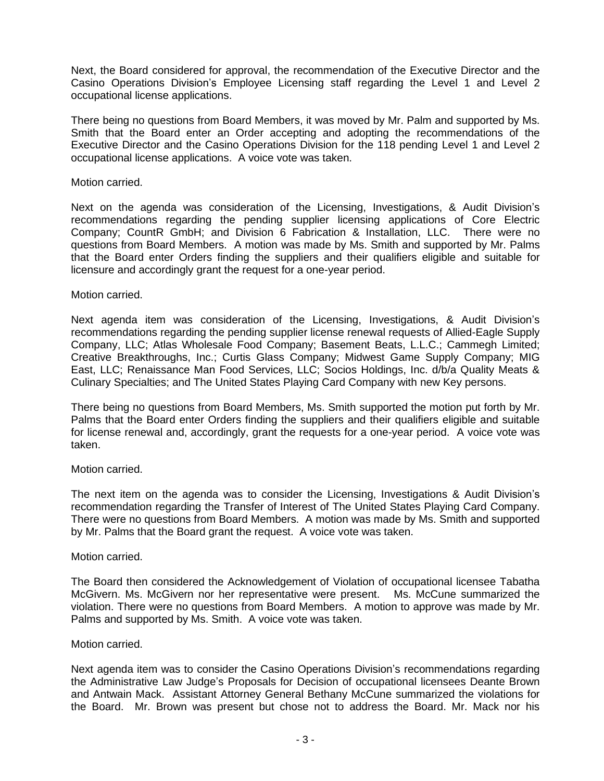Next, the Board considered for approval, the recommendation of the Executive Director and the Casino Operations Division's Employee Licensing staff regarding the Level 1 and Level 2 occupational license applications.

There being no questions from Board Members, it was moved by Mr. Palm and supported by Ms. Smith that the Board enter an Order accepting and adopting the recommendations of the Executive Director and the Casino Operations Division for the 118 pending Level 1 and Level 2 occupational license applications. A voice vote was taken.

### Motion carried.

Next on the agenda was consideration of the Licensing, Investigations, & Audit Division's recommendations regarding the pending supplier licensing applications of Core Electric Company; CountR GmbH; and Division 6 Fabrication & Installation, LLC. There were no questions from Board Members. A motion was made by Ms. Smith and supported by Mr. Palms that the Board enter Orders finding the suppliers and their qualifiers eligible and suitable for licensure and accordingly grant the request for a one-year period.

## Motion carried.

Next agenda item was consideration of the Licensing, Investigations, & Audit Division's recommendations regarding the pending supplier license renewal requests of Allied-Eagle Supply Company, LLC; Atlas Wholesale Food Company; Basement Beats, L.L.C.; Cammegh Limited; Creative Breakthroughs, Inc.; Curtis Glass Company; Midwest Game Supply Company; MIG East, LLC; Renaissance Man Food Services, LLC; Socios Holdings, Inc. d/b/a Quality Meats & Culinary Specialties; and The United States Playing Card Company with new Key persons.

There being no questions from Board Members, Ms. Smith supported the motion put forth by Mr. Palms that the Board enter Orders finding the suppliers and their qualifiers eligible and suitable for license renewal and, accordingly, grant the requests for a one-year period. A voice vote was taken.

# Motion carried.

The next item on the agenda was to consider the Licensing, Investigations & Audit Division's recommendation regarding the Transfer of Interest of The United States Playing Card Company. There were no questions from Board Members. A motion was made by Ms. Smith and supported by Mr. Palms that the Board grant the request. A voice vote was taken.

### Motion carried.

The Board then considered the Acknowledgement of Violation of occupational licensee Tabatha McGivern. Ms. McGivern nor her representative were present. Ms. McCune summarized the violation. There were no questions from Board Members. A motion to approve was made by Mr. Palms and supported by Ms. Smith. A voice vote was taken.

### Motion carried.

Next agenda item was to consider the Casino Operations Division's recommendations regarding the Administrative Law Judge's Proposals for Decision of occupational licensees Deante Brown and Antwain Mack. Assistant Attorney General Bethany McCune summarized the violations for the Board. Mr. Brown was present but chose not to address the Board. Mr. Mack nor his